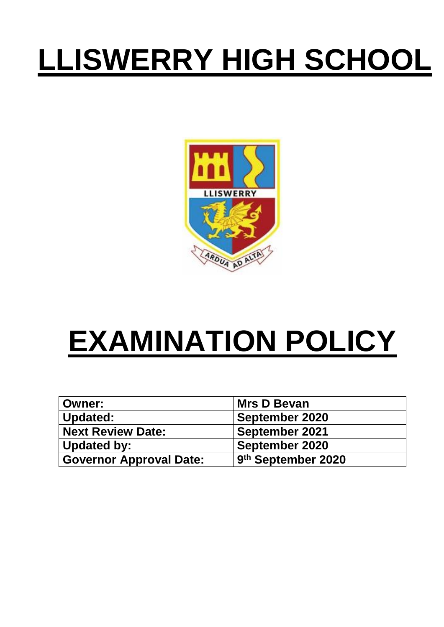# **LLISWERRY HIGH SCHOOL**



# **EXAMINATION POLICY**

| <b>Owner:</b>                  | <b>Mrs D Bevan</b>    |
|--------------------------------|-----------------------|
| Updated:                       | <b>September 2020</b> |
| <b>Next Review Date:</b>       | <b>September 2021</b> |
| <b>Updated by:</b>             | <b>September 2020</b> |
| <b>Governor Approval Date:</b> | 9th September 2020    |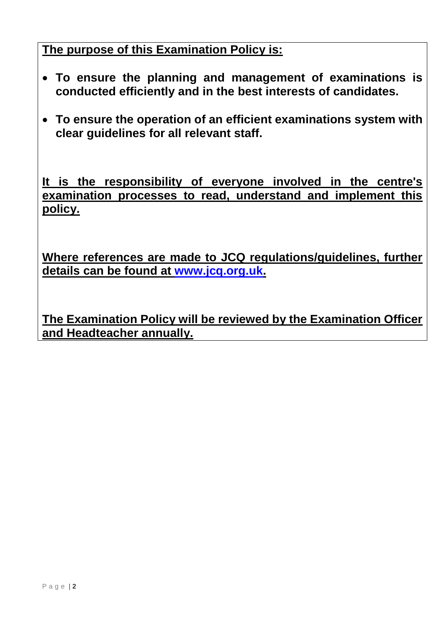**The purpose of this Examination Policy is:**

- **To ensure the planning and management of examinations is conducted efficiently and in the best interests of candidates.**
- **To ensure the operation of an efficient examinations system with clear guidelines for all relevant staff.**

**It is the responsibility of everyone involved in the centre's examination processes to read, understand and implement this policy.**

**Where references are made to JCQ regulations/guidelines, further details can be found at [www.jcq.org.uk.](http://www.jcq.org.uk/)**

<span id="page-1-0"></span>**The Examination Policy will be reviewed by the Examination Officer and Headteacher annually.**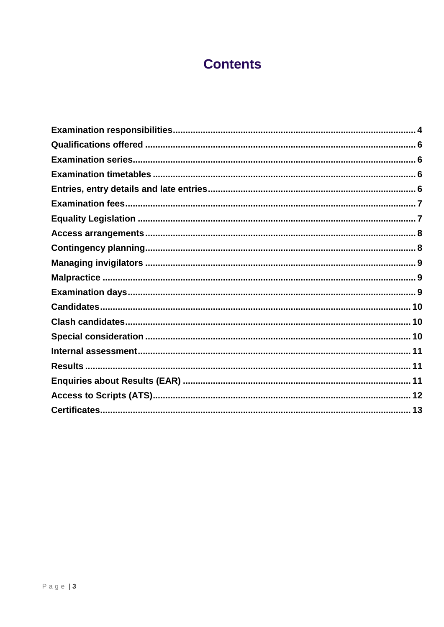# **Contents**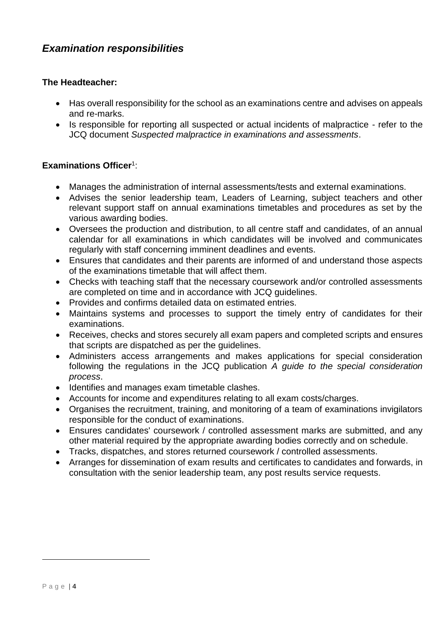### *Examination responsibilities*

#### **The Headteacher:**

- Has overall responsibility for the school as an examinations centre and advises on appeals and re-marks.
- Is responsible for reporting all suspected or actual incidents of malpractice refer to the JCQ document *Suspected malpractice in examinations and assessments*.

#### **Examinations Officer**<sup>1</sup> :

- Manages the administration of internal assessments/tests and external examinations.
- Advises the senior leadership team, Leaders of Learning, subject teachers and other relevant support staff on annual examinations timetables and procedures as set by the various awarding bodies.
- Oversees the production and distribution, to all centre staff and candidates, of an annual calendar for all examinations in which candidates will be involved and communicates regularly with staff concerning imminent deadlines and events.
- Ensures that candidates and their parents are informed of and understand those aspects of the examinations timetable that will affect them.
- Checks with teaching staff that the necessary coursework and/or controlled assessments are completed on time and in accordance with JCQ guidelines.
- Provides and confirms detailed data on estimated entries.
- Maintains systems and processes to support the timely entry of candidates for their examinations.
- Receives, checks and stores securely all exam papers and completed scripts and ensures that scripts are dispatched as per the guidelines.
- Administers access arrangements and makes applications for special consideration following the regulations in the JCQ publication *A guide to the special consideration process*.
- Identifies and manages exam timetable clashes.
- Accounts for income and expenditures relating to all exam costs/charges.
- Organises the recruitment, training, and monitoring of a team of examinations invigilators responsible for the conduct of examinations.
- Ensures candidates' coursework / controlled assessment marks are submitted, and any other material required by the appropriate awarding bodies correctly and on schedule.
- Tracks, dispatches, and stores returned coursework / controlled assessments.
- Arranges for dissemination of exam results and certificates to candidates and forwards, in consultation with the senior leadership team, any post results service requests.

<u>.</u>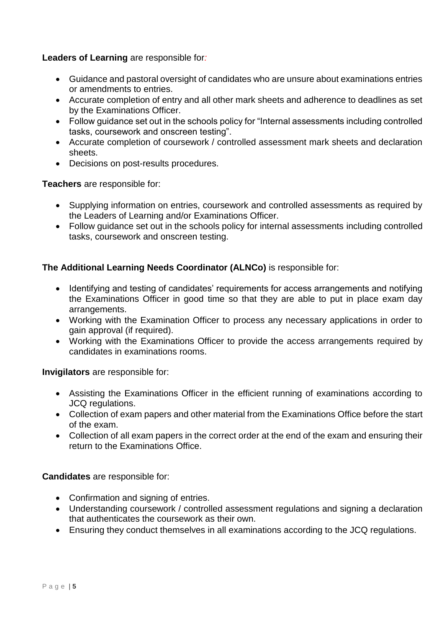#### **Leaders of Learning** are responsible for*:*

- Guidance and pastoral oversight of candidates who are unsure about examinations entries or amendments to entries.
- Accurate completion of entry and all other mark sheets and adherence to deadlines as set by the Examinations Officer.
- Follow guidance set out in the schools policy for "Internal assessments including controlled tasks, coursework and onscreen testing".
- Accurate completion of coursework / controlled assessment mark sheets and declaration sheets.
- Decisions on post-results procedures.

**Teachers** are responsible for:

- Supplying information on entries, coursework and controlled assessments as required by the Leaders of Learning and/or Examinations Officer.
- Follow guidance set out in the schools policy for internal assessments including controlled tasks, coursework and onscreen testing.

#### **The Additional Learning Needs Coordinator (ALNCo)** is responsible for:

- Identifying and testing of candidates' requirements for access arrangements and notifying the Examinations Officer in good time so that they are able to put in place exam day arrangements.
- Working with the Examination Officer to process any necessary applications in order to gain approval (if required).
- Working with the Examinations Officer to provide the access arrangements required by candidates in examinations rooms.

**Invigilators** are responsible for:

- Assisting the Examinations Officer in the efficient running of examinations according to JCQ regulations.
- Collection of exam papers and other material from the Examinations Office before the start of the exam.
- Collection of all exam papers in the correct order at the end of the exam and ensuring their return to the Examinations Office.

**Candidates** are responsible for:

- Confirmation and signing of entries.
- <span id="page-4-0"></span> Understanding coursework / controlled assessment regulations and signing a declaration that authenticates the coursework as their own.
- Ensuring they conduct themselves in all examinations according to the JCQ regulations.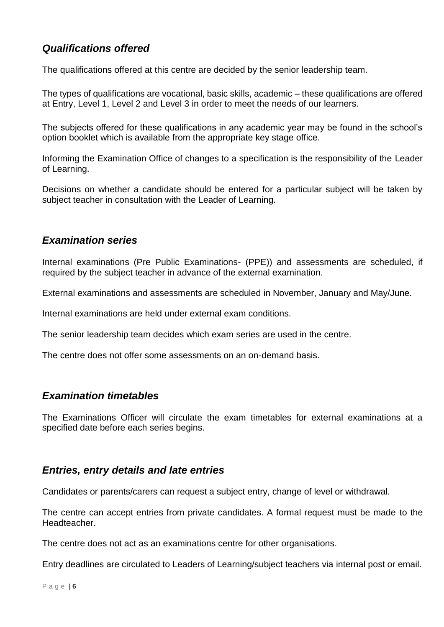# *Qualifications offered*

The qualifications offered at this centre are decided by the senior leadership team.

The types of qualifications are vocational, basic skills, academic – these qualifications are offered at Entry, Level 1, Level 2 and Level 3 in order to meet the needs of our learners.

The subjects offered for these qualifications in any academic year may be found in the school's option booklet which is available from the appropriate key stage office.

Informing the Examination Office of changes to a specification is the responsibility of the Leader of Learning.

Decisions on whether a candidate should be entered for a particular subject will be taken by subject teacher in consultation with the Leader of Learning.

#### <span id="page-5-0"></span>*Examination series*

Internal examinations (Pre Public Examinations- (PPE)) and assessments are scheduled, if required by the subject teacher in advance of the external examination.

External examinations and assessments are scheduled in November, January and May/June.

Internal examinations are held under external exam conditions.

The senior leadership team decides which exam series are used in the centre.

The centre does not offer some assessments on an on-demand basis.

#### <span id="page-5-1"></span>*Examination timetables*

The Examinations Officer will circulate the exam timetables for external examinations at a specified date before each series begins.

#### <span id="page-5-2"></span>*Entries, entry details and late entries*

Candidates or parents/carers can request a subject entry, change of level or withdrawal.

The centre can accept entries from private candidates. A formal request must be made to the Headteacher.

The centre does not act as an examinations centre for other organisations.

Entry deadlines are circulated to Leaders of Learning/subject teachers via internal post or email.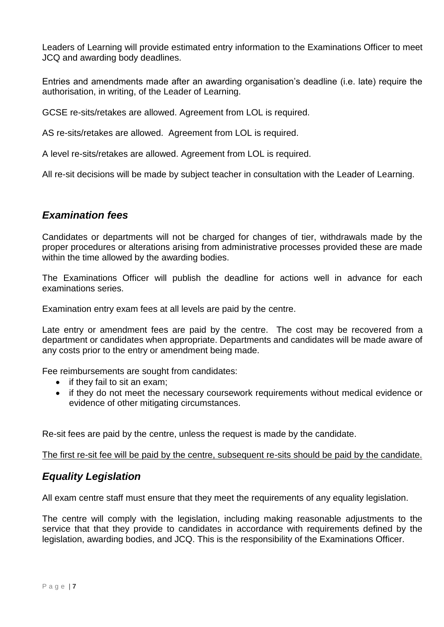Leaders of Learning will provide estimated entry information to the Examinations Officer to meet JCQ and awarding body deadlines.

Entries and amendments made after an awarding organisation's deadline (i.e. late) require the authorisation, in writing, of the Leader of Learning.

GCSE re-sits/retakes are allowed. Agreement from LOL is required.

AS re-sits/retakes are allowed. Agreement from LOL is required.

A level re-sits/retakes are allowed. Agreement from LOL is required.

All re-sit decisions will be made by subject teacher in consultation with the Leader of Learning.

#### <span id="page-6-0"></span>*Examination fees*

Candidates or departments will not be charged for changes of tier, withdrawals made by the proper procedures or alterations arising from administrative processes provided these are made within the time allowed by the awarding bodies.

The Examinations Officer will publish the deadline for actions well in advance for each examinations series.

Examination entry exam fees at all levels are paid by the centre.

Late entry or amendment fees are paid by the centre. The cost may be recovered from a department or candidates when appropriate. Departments and candidates will be made aware of any costs prior to the entry or amendment being made.

Fee reimbursements are sought from candidates:

- $\bullet$  if they fail to sit an exam;
- if they do not meet the necessary coursework requirements without medical evidence or evidence of other mitigating circumstances.

Re-sit fees are paid by the centre, unless the request is made by the candidate.

The first re-sit fee will be paid by the centre, subsequent re-sits should be paid by the candidate.

#### <span id="page-6-1"></span>*Equality Legislation*

All exam centre staff must ensure that they meet the requirements of any equality legislation.

The centre will comply with the legislation, including making reasonable adjustments to the service that that they provide to candidates in accordance with requirements defined by the legislation, awarding bodies, and JCQ. This is the responsibility of the Examinations Officer.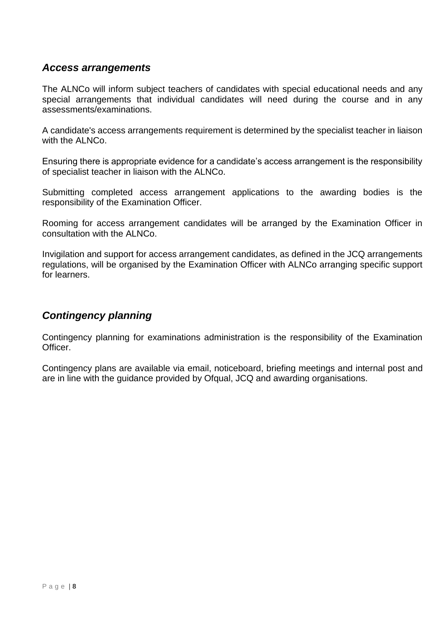#### <span id="page-7-0"></span>*Access arrangements*

The ALNCo will inform subject teachers of candidates with special educational needs and any special arrangements that individual candidates will need during the course and in any assessments/examinations.

A candidate's access arrangements requirement is determined by the specialist teacher in liaison with the ALNCo.

Ensuring there is appropriate evidence for a candidate's access arrangement is the responsibility of specialist teacher in liaison with the ALNCo.

Submitting completed access arrangement applications to the awarding bodies is the responsibility of the Examination Officer.

Rooming for access arrangement candidates will be arranged by the Examination Officer in consultation with the ALNCo.

Invigilation and support for access arrangement candidates, as defined in the JCQ arrangements regulations, will be organised by the Examination Officer with ALNCo arranging specific support for learners.

### <span id="page-7-1"></span>*Contingency planning*

Contingency planning for examinations administration is the responsibility of the Examination Officer.

Contingency plans are available via email, noticeboard, briefing meetings and internal post and are in line with the guidance provided by Ofqual, JCQ and awarding organisations.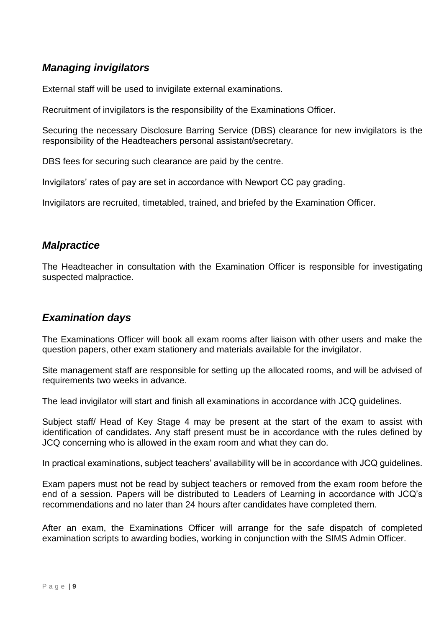# <span id="page-8-0"></span>*Managing invigilators*

External staff will be used to invigilate external examinations.

Recruitment of invigilators is the responsibility of the Examinations Officer.

Securing the necessary Disclosure Barring Service (DBS) clearance for new invigilators is the responsibility of the Headteachers personal assistant/secretary.

DBS fees for securing such clearance are paid by the centre.

Invigilators' rates of pay are set in accordance with Newport CC pay grading.

Invigilators are recruited, timetabled, trained, and briefed by the Examination Officer.

#### <span id="page-8-1"></span>*Malpractice*

The Headteacher in consultation with the Examination Officer is responsible for investigating suspected malpractice.

#### <span id="page-8-2"></span>*Examination days*

The Examinations Officer will book all exam rooms after liaison with other users and make the question papers, other exam stationery and materials available for the invigilator.

Site management staff are responsible for setting up the allocated rooms, and will be advised of requirements two weeks in advance.

The lead invigilator will start and finish all examinations in accordance with JCQ guidelines.

Subject staff/ Head of Key Stage 4 may be present at the start of the exam to assist with identification of candidates. Any staff present must be in accordance with the rules defined by JCQ concerning who is allowed in the exam room and what they can do.

In practical examinations, subject teachers' availability will be in accordance with JCQ guidelines.

Exam papers must not be read by subject teachers or removed from the exam room before the end of a session. Papers will be distributed to Leaders of Learning in accordance with JCQ's recommendations and no later than 24 hours after candidates have completed them.

After an exam, the Examinations Officer will arrange for the safe dispatch of completed examination scripts to awarding bodies, working in conjunction with the SIMS Admin Officer.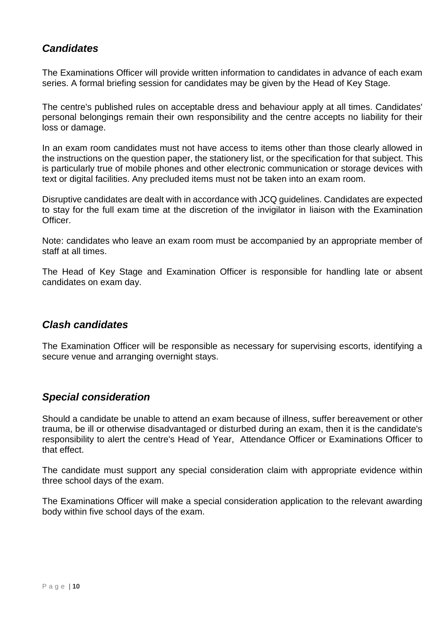## <span id="page-9-0"></span>*Candidates*

The Examinations Officer will provide written information to candidates in advance of each exam series. A formal briefing session for candidates may be given by the Head of Key Stage.

The centre's published rules on acceptable dress and behaviour apply at all times. Candidates' personal belongings remain their own responsibility and the centre accepts no liability for their loss or damage.

In an exam room candidates must not have access to items other than those clearly allowed in the instructions on the question paper, the stationery list, or the specification for that subject. This is particularly true of mobile phones and other electronic communication or storage devices with text or digital facilities. Any precluded items must not be taken into an exam room.

Disruptive candidates are dealt with in accordance with JCQ guidelines. Candidates are expected to stay for the full exam time at the discretion of the invigilator in liaison with the Examination Officer.

Note: candidates who leave an exam room must be accompanied by an appropriate member of staff at all times.

The Head of Key Stage and Examination Officer is responsible for handling late or absent candidates on exam day.

#### <span id="page-9-1"></span>*Clash candidates*

The Examination Officer will be responsible as necessary for supervising escorts, identifying a secure venue and arranging overnight stays.

#### <span id="page-9-2"></span>*Special consideration*

Should a candidate be unable to attend an exam because of illness, suffer bereavement or other trauma, be ill or otherwise disadvantaged or disturbed during an exam, then it is the candidate's responsibility to alert the centre's Head of Year, Attendance Officer or Examinations Officer to that effect.

The candidate must support any special consideration claim with appropriate evidence within three school days of the exam.

The Examinations Officer will make a special consideration application to the relevant awarding body within five school days of the exam.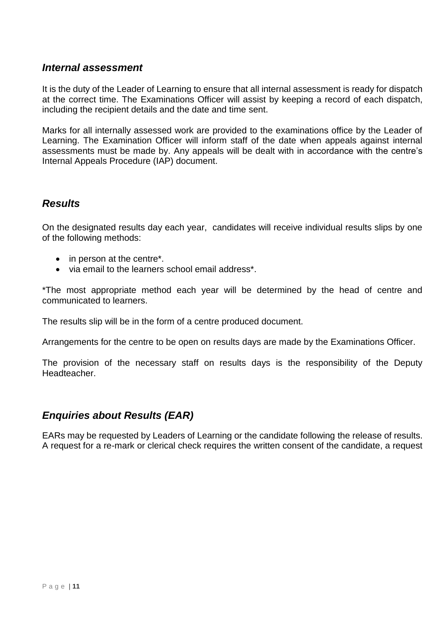#### <span id="page-10-0"></span>*Internal assessment*

It is the duty of the Leader of Learning to ensure that all internal assessment is ready for dispatch at the correct time. The Examinations Officer will assist by keeping a record of each dispatch, including the recipient details and the date and time sent.

Marks for all internally assessed work are provided to the examinations office by the Leader of Learning. The Examination Officer will inform staff of the date when appeals against internal assessments must be made by. Any appeals will be dealt with in accordance with the centre's Internal Appeals Procedure (IAP) document.

#### <span id="page-10-1"></span>*Results*

On the designated results day each year, candidates will receive individual results slips by one of the following methods:

- in person at the centre<sup>\*</sup>.
- via email to the learners school email address\*.

\*The most appropriate method each year will be determined by the head of centre and communicated to learners.

The results slip will be in the form of a centre produced document.

Arrangements for the centre to be open on results days are made by the Examinations Officer.

The provision of the necessary staff on results days is the responsibility of the Deputy Headteacher.

#### <span id="page-10-2"></span>*Enquiries about Results (EAR)*

EARs may be requested by Leaders of Learning or the candidate following the release of results. A request for a re-mark or clerical check requires the written consent of the candidate, a request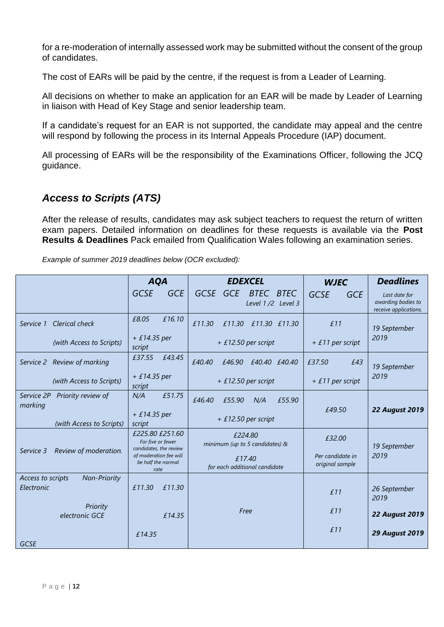for a re-moderation of internally assessed work may be submitted without the consent of the group of candidates.

The cost of EARs will be paid by the centre, if the request is from a Leader of Learning.

All decisions on whether to make an application for an EAR will be made by Leader of Learning in liaison with Head of Key Stage and senior leadership team.

If a candidate's request for an EAR is not supported, the candidate may appeal and the centre will respond by following the process in its Internal Appeals Procedure (IAP) document.

All processing of EARs will be the responsibility of the Examinations Officer, following the JCQ guidance.

# <span id="page-11-0"></span>*Access to Scripts (ATS)*

After the release of results, candidates may ask subject teachers to request the return of written exam papers. Detailed information on deadlines for these requests is available via the **Post Results & Deadlines** Pack emailed from Qualification Wales following an examination series.

*Example of summer 2019 deadlines below (OCR excluded):*

|                                                        | <b>AQA</b>                                                     | <b>EDEXCEL</b>                             | <b>WJEC</b>                         | <b>Deadlines</b>                                             |
|--------------------------------------------------------|----------------------------------------------------------------|--------------------------------------------|-------------------------------------|--------------------------------------------------------------|
|                                                        | <b>GCSE</b><br><b>GCE</b>                                      | GCSE GCE<br>BTEC BTEC<br>Level 1/2 Level 3 | <b>GCSE</b><br><b>GCE</b>           | Last date for<br>awarding bodies to<br>receive applications. |
| Clerical check<br>Service 1                            | £16.10<br>£8.05                                                | £11.30<br>£11.30<br>£11.30 £11.30          | £11                                 | 19 September                                                 |
| (with Access to Scripts)                               | $+£14.35$ per<br>script                                        | $+ £12.50$ per script                      | $+ f11$ per script                  | 2019                                                         |
| Service 2 Review of marking                            | £37.55<br>£43.45                                               | £40.40<br>£40.40 £40.40<br>£46.90          | £37.50<br>£43                       | 19 September                                                 |
| (with Access to Scripts)                               | $+£14.35$ per<br>script                                        | $+ £12.50$ per script                      | $+ f11$ per script                  | 2019                                                         |
| Service 2P<br>Priority review of<br>marking            | £51.75<br>N/A                                                  | £46.40<br>£55.90<br>N/A<br>£55.90          | £49.50                              |                                                              |
| (with Access to Scripts)                               | $+£14.35$ per<br>script                                        | $+ £12.50$ per script                      |                                     | <b>22 August 2019</b>                                        |
|                                                        | £225.80 £251.60<br>For five or fewer<br>candidates, the review | £224.80<br>minimum (up to 5 candidates) &  | £32.00                              | 19 September                                                 |
| Review of moderation.<br>Service 3                     | of moderation fee will<br>be half the normal<br>rate           | £17.40<br>for each additional candidate    | Per candidate in<br>original sample | 2019                                                         |
| <b>Non-Priority</b><br>Access to scripts<br>Electronic | £11.30<br>£11.30                                               |                                            | £11                                 | 26 September<br>2019                                         |
| Priority<br>electronic GCE                             | £14.35                                                         | Free                                       | £11                                 | <b>22 August 2019</b>                                        |
| <b>GCSE</b>                                            | £14.35                                                         |                                            | £11                                 | <b>29 August 2019</b>                                        |